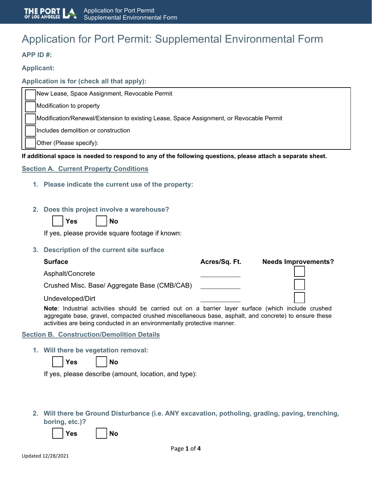# Application for Port Permit: Supplemental Environmental Form

## **APP ID #:**

## **Applicant:**

## **Application is for (check all that apply):**

New Lease, Space Assignment, Revocable Permit

Modification to property

Modification/Renewal/Extension to existing Lease, Space Assignment, or Revocable Permit

Includes demolition or construction

Other (Please specify):

#### **If additional space is needed to respond to any of the following questions, please attach a separate sheet.**

**Section A. Current Property Conditions** 

- **1. Please indicate the current use of the property:**
- **2. Does this project involve a warehouse?**

| ΔS<br>7 |  |
|---------|--|
|         |  |

If yes, please provide square footage if known:

**Yes No**

**3. Description of the current site surface**

| <b>Surface</b>                                                                                      | Acres/Sq. Ft. | <b>Needs Improvements?</b> |
|-----------------------------------------------------------------------------------------------------|---------------|----------------------------|
| Asphalt/Concrete                                                                                    |               |                            |
| Crushed Misc. Base/ Aggregate Base (CMB/CAB)                                                        |               |                            |
| Undeveloped/Dirt                                                                                    |               |                            |
| Note: Industrial activities should be carried out on a barrier laver surface (which include crushed |               |                            |

**Note**: Industrial activities should be carried out on a barrier layer surface (which include crushed aggregate base, gravel, compacted crushed miscellaneous base, asphalt, and concrete) to ensure these activities are being conducted in an environmentally protective manner.

#### **Section B. Construction/Demolition Details**

**1. Will there be vegetation removal:**

| <b>Yes</b> |  | <b>No</b> |
|------------|--|-----------|
|------------|--|-----------|

If yes, please describe (amount, location, and type):

**2. Will there be Ground Disturbance (i.e. ANY excavation, potholing, grading, paving, trenching, boring, etc.)?**

Yes I INo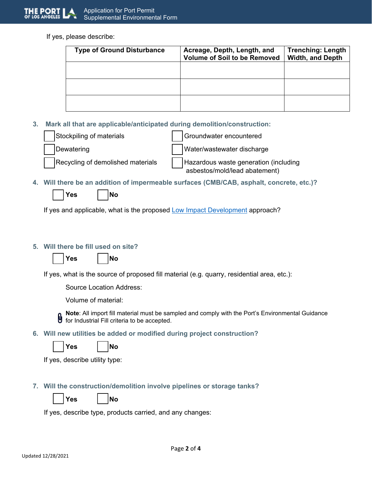

If yes, please describe:

| <b>Type of Ground Disturbance</b> | Acreage, Depth, Length, and<br><b>Volume of Soil to be Removed</b> | <b>Trenching: Length</b><br><b>Width, and Depth</b> |
|-----------------------------------|--------------------------------------------------------------------|-----------------------------------------------------|
|                                   |                                                                    |                                                     |
|                                   |                                                                    |                                                     |
|                                   |                                                                    |                                                     |

**3. Mark all that are applicable/anticipated during demolition/construction:**

| Stockpiling of materials          | Groundwater encountered                                                |
|-----------------------------------|------------------------------------------------------------------------|
| Dewatering                        | Water/wastewater discharge                                             |
| Recycling of demolished materials | Hazardous waste generation (including<br>asbestos/mold/lead abatement) |

**4. Will there be an addition of impermeable surfaces (CMB/CAB, asphalt, concrete, etc.)?**

| Yes |  | lNo |
|-----|--|-----|
|-----|--|-----|

If yes and applicable, what is the proposed [Low Impact Development](https://www.lacitysan.org/cs/groups/sg_sw/documents/document/y250/mde3/%7Eedisp/cnt017123.pdf) approach?

## **5. Will there be fill used on site?**

| <b>Yes</b> | INo |
|------------|-----|
|            |     |

If yes, what is the source of proposed fill material (e.g. quarry, residential area, etc.):

Source Location Address:

Volume of material:

**Note**: All import fill material must be sampled and comply with the Port's Environmental Guidance for Industrial Fill criteria to be accepted.

**6. Will new utilities be added or modified during project construction?**



If yes, describe utility type:

- **7. Will the construction/demolition involve pipelines or storage tanks?**
	- Yes I INo

If yes, describe type, products carried, and any changes: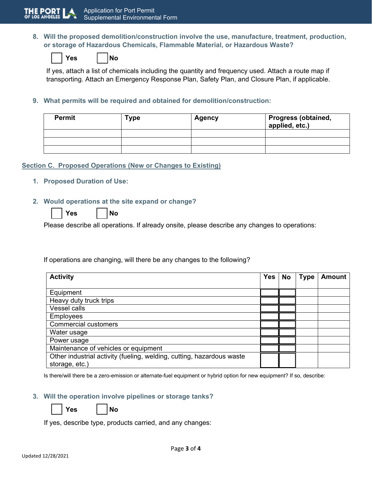**8. Will the proposed demolition/construction involve the use, manufacture, treatment, production, or storage of Hazardous Chemicals, Flammable Material, or Hazardous Waste?**

|--|

| Yes |  |  | l No |
|-----|--|--|------|
|-----|--|--|------|

If yes, attach a list of chemicals including the quantity and frequency used. Attach a route map if transporting. Attach an Emergency Response Plan, Safety Plan, and Closure Plan, if applicable.

**9. What permits will be required and obtained for demolition/construction:**

| <b>Permit</b> | Type | <b>Agency</b> | <b>Progress (obtained,</b><br>applied, etc.) |
|---------------|------|---------------|----------------------------------------------|
|               |      |               |                                              |
|               |      |               |                                              |
|               |      |               |                                              |

## **Section C. Proposed Operations (New or Changes to Existing)**

**1. Proposed Duration of Use:**

#### **2. Would operations at the site expand or change?**

| Yes |  | l No |
|-----|--|------|
|-----|--|------|

Please describe all operations. If already onsite, please describe any changes to operations:

If operations are changing, will there be any changes to the following?

| <b>Activity</b>                                                                         | <b>Yes</b> | <b>No</b> | <b>Type</b> | <b>Amount</b> |
|-----------------------------------------------------------------------------------------|------------|-----------|-------------|---------------|
|                                                                                         |            |           |             |               |
| Equipment                                                                               |            |           |             |               |
| Heavy duty truck trips                                                                  |            |           |             |               |
| <b>Vessel calls</b>                                                                     |            |           |             |               |
| <b>Employees</b>                                                                        |            |           |             |               |
| <b>Commercial customers</b>                                                             |            |           |             |               |
| Water usage                                                                             |            |           |             |               |
| Power usage                                                                             |            |           |             |               |
| Maintenance of vehicles or equipment                                                    |            |           |             |               |
| Other industrial activity (fueling, welding, cutting, hazardous waste<br>storage, etc.) |            |           |             |               |

Is there/will there be a zero-emission or alternate-fuel equipment or hybrid option for new equipment? If so, describe:

#### **3. Will the operation involve pipelines or storage tanks?**

**Yes No**

| Yes |  |
|-----|--|
|-----|--|

If yes, describe type, products carried, and any changes: